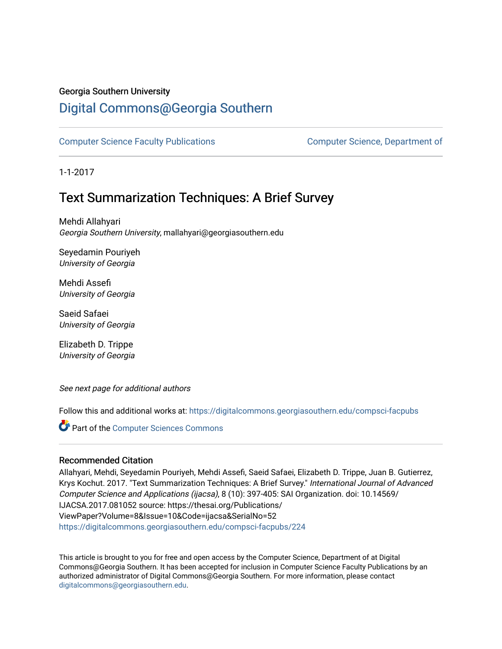### Georgia Southern University

## [Digital Commons@Georgia Southern](https://digitalcommons.georgiasouthern.edu/)

[Computer Science Faculty Publications](https://digitalcommons.georgiasouthern.edu/compsci-facpubs) [Computer Science, Department of](https://digitalcommons.georgiasouthern.edu/compsci) 

1-1-2017

## Text Summarization Techniques: A Brief Survey

Mehdi Allahyari Georgia Southern University, mallahyari@georgiasouthern.edu

Seyedamin Pouriyeh University of Georgia

Mehdi Assefi University of Georgia

Saeid Safaei University of Georgia

Elizabeth D. Trippe University of Georgia

See next page for additional authors

Follow this and additional works at: [https://digitalcommons.georgiasouthern.edu/compsci-facpubs](https://digitalcommons.georgiasouthern.edu/compsci-facpubs?utm_source=digitalcommons.georgiasouthern.edu%2Fcompsci-facpubs%2F224&utm_medium=PDF&utm_campaign=PDFCoverPages) 

**Part of the [Computer Sciences Commons](http://network.bepress.com/hgg/discipline/142?utm_source=digitalcommons.georgiasouthern.edu%2Fcompsci-facpubs%2F224&utm_medium=PDF&utm_campaign=PDFCoverPages)** 

#### Recommended Citation

Allahyari, Mehdi, Seyedamin Pouriyeh, Mehdi Assefi, Saeid Safaei, Elizabeth D. Trippe, Juan B. Gutierrez, Krys Kochut. 2017. "Text Summarization Techniques: A Brief Survey." International Journal of Advanced Computer Science and Applications (ijacsa), 8 (10): 397-405: SAI Organization. doi: 10.14569/ IJACSA.2017.081052 source: https://thesai.org/Publications/ ViewPaper?Volume=8&Issue=10&Code=ijacsa&SerialNo=52 [https://digitalcommons.georgiasouthern.edu/compsci-facpubs/224](https://digitalcommons.georgiasouthern.edu/compsci-facpubs/224?utm_source=digitalcommons.georgiasouthern.edu%2Fcompsci-facpubs%2F224&utm_medium=PDF&utm_campaign=PDFCoverPages) 

This article is brought to you for free and open access by the Computer Science, Department of at Digital Commons@Georgia Southern. It has been accepted for inclusion in Computer Science Faculty Publications by an authorized administrator of Digital Commons@Georgia Southern. For more information, please contact [digitalcommons@georgiasouthern.edu.](mailto:digitalcommons@georgiasouthern.edu)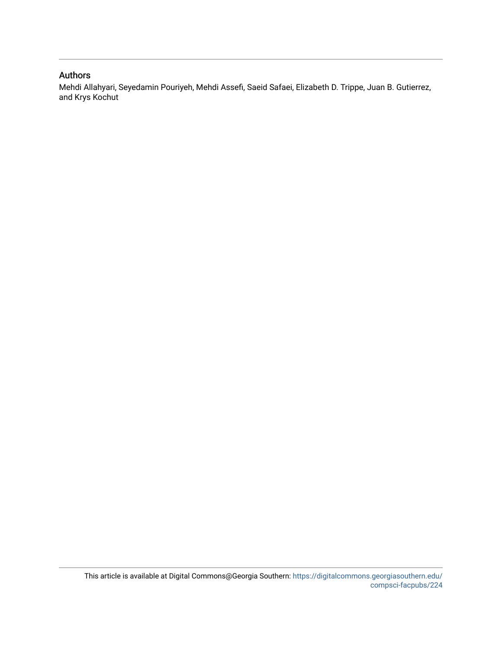#### Authors

Mehdi Allahyari, Seyedamin Pouriyeh, Mehdi Assefi, Saeid Safaei, Elizabeth D. Trippe, Juan B. Gutierrez, and Krys Kochut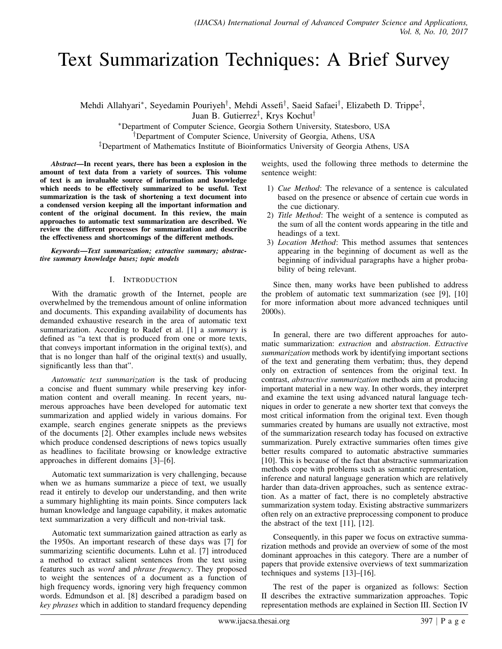# Text Summarization Techniques: A Brief Survey

Mehdi Allahyari\*, Seyedamin Pouriyeh<sup>†</sup>, Mehdi Assefi<sup>†</sup>, Saeid Safaei<sup>†</sup>, Elizabeth D. Trippe<sup>‡</sup>, Juan B. Gutierrez‡ , Krys Kochut†

<sup>∗</sup>Department of Computer Science, Georgia Sothern University, Statesboro, USA

†Department of Computer Science, University of Georgia, Athens, USA

‡Department of Mathematics Institute of Bioinformatics University of Georgia Athens, USA

*Abstract*—In recent years, there has been a explosion in the amount of text data from a variety of sources. This volume of text is an invaluable source of information and knowledge which needs to be effectively summarized to be useful. Text summarization is the task of shortening a text document into a condensed version keeping all the important information and content of the original document. In this review, the main approaches to automatic text summarization are described. We review the different processes for summarization and describe the effectiveness and shortcomings of the different methods.

*Keywords*—*Text summarization; extractive summary; abstractive summary knowledge bases; topic models*

#### I. INTRODUCTION

With the dramatic growth of the Internet, people are overwhelmed by the tremendous amount of online information and documents. This expanding availability of documents has demanded exhaustive research in the area of automatic text summarization. According to Radef et al. [1] a *summary* is defined as "a text that is produced from one or more texts, that conveys important information in the original text(s), and that is no longer than half of the original text(s) and usually, significantly less than that".

*Automatic text summarization* is the task of producing a concise and fluent summary while preserving key information content and overall meaning. In recent years, numerous approaches have been developed for automatic text summarization and applied widely in various domains. For example, search engines generate snippets as the previews of the documents [2]. Other examples include news websites which produce condensed descriptions of news topics usually as headlines to facilitate browsing or knowledge extractive approaches in different domains [3]–[6].

Automatic text summarization is very challenging, because when we as humans summarize a piece of text, we usually read it entirely to develop our understanding, and then write a summary highlighting its main points. Since computers lack human knowledge and language capability, it makes automatic text summarization a very difficult and non-trivial task.

Automatic text summarization gained attraction as early as the 1950s. An important research of these days was [7] for summarizing scientific documents. Luhn et al. [7] introduced a method to extract salient sentences from the text using features such as *word* and *phrase frequency*. They proposed to weight the sentences of a document as a function of high frequency words, ignoring very high frequency common words. Edmundson et al. [8] described a paradigm based on *key phrases* which in addition to standard frequency depending weights, used the following three methods to determine the sentence weight:

- 1) *Cue Method*: The relevance of a sentence is calculated based on the presence or absence of certain cue words in the cue dictionary.
- 2) *Title Method*: The weight of a sentence is computed as the sum of all the content words appearing in the title and headings of a text.
- 3) *Location Method*: This method assumes that sentences appearing in the beginning of document as well as the beginning of individual paragraphs have a higher probability of being relevant.

Since then, many works have been published to address the problem of automatic text summarization (see [9], [10] for more information about more advanced techniques until 2000s).

In general, there are two different approaches for automatic summarization: *extraction* and *abstraction*. *Extractive summarization* methods work by identifying important sections of the text and generating them verbatim; thus, they depend only on extraction of sentences from the original text. In contrast, *abstractive summarization* methods aim at producing important material in a new way. In other words, they interpret and examine the text using advanced natural language techniques in order to generate a new shorter text that conveys the most critical information from the original text. Even though summaries created by humans are usually not extractive, most of the summarization research today has focused on extractive summarization. Purely extractive summaries often times give better results compared to automatic abstractive summaries [10]. This is because of the fact that abstractive summarization methods cope with problems such as semantic representation, inference and natural language generation which are relatively harder than data-driven approaches, such as sentence extraction. As a matter of fact, there is no completely abstractive summarization system today. Existing abstractive summarizers often rely on an extractive preprocessing component to produce the abstract of the text [11], [12].

Consequently, in this paper we focus on extractive summarization methods and provide an overview of some of the most dominant approaches in this category. There are a number of papers that provide extensive overviews of text summarization techniques and systems [13]–[16].

The rest of the paper is organized as follows: Section II describes the extractive summarization approaches. Topic representation methods are explained in Section III. Section IV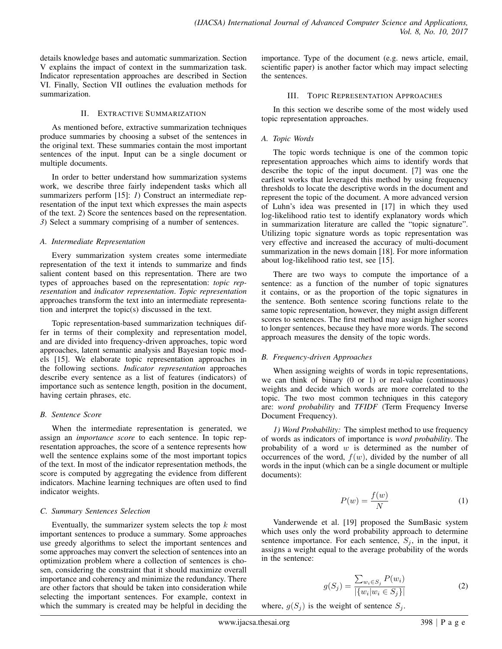details knowledge bases and automatic summarization. Section V explains the impact of context in the summarization task. Indicator representation approaches are described in Section VI. Finally, Section VII outlines the evaluation methods for summarization.

#### II. EXTRACTIVE SUMMARIZATION

As mentioned before, extractive summarization techniques produce summaries by choosing a subset of the sentences in the original text. These summaries contain the most important sentences of the input. Input can be a single document or multiple documents.

In order to better understand how summarization systems work, we describe three fairly independent tasks which all summarizers perform [15]: *1*) Construct an intermediate representation of the input text which expresses the main aspects of the text. *2*) Score the sentences based on the representation. *3*) Select a summary comprising of a number of sentences.

#### *A. Intermediate Representation*

Every summarization system creates some intermediate representation of the text it intends to summarize and finds salient content based on this representation. There are two types of approaches based on the representation: *topic representation* and *indicator representation*. *Topic representation* approaches transform the text into an intermediate representation and interpret the topic(s) discussed in the text.

Topic representation-based summarization techniques differ in terms of their complexity and representation model, and are divided into frequency-driven approaches, topic word approaches, latent semantic analysis and Bayesian topic models [15]. We elaborate topic representation approaches in the following sections. *Indicator representation* approaches describe every sentence as a list of features (indicators) of importance such as sentence length, position in the document, having certain phrases, etc.

#### *B. Sentence Score*

When the intermediate representation is generated, we assign an *importance score* to each sentence. In topic representation approaches, the score of a sentence represents how well the sentence explains some of the most important topics of the text. In most of the indicator representation methods, the score is computed by aggregating the evidence from different indicators. Machine learning techniques are often used to find indicator weights.

#### *C. Summary Sentences Selection*

Eventually, the summarizer system selects the top  $k$  most important sentences to produce a summary. Some approaches use greedy algorithms to select the important sentences and some approaches may convert the selection of sentences into an optimization problem where a collection of sentences is chosen, considering the constraint that it should maximize overall importance and coherency and minimize the redundancy. There are other factors that should be taken into consideration while selecting the important sentences. For example, context in which the summary is created may be helpful in deciding the importance. Type of the document (e.g. news article, email, scientific paper) is another factor which may impact selecting the sentences.

#### III. TOPIC REPRESENTATION APPROACHES

In this section we describe some of the most widely used topic representation approaches.

#### *A. Topic Words*

The topic words technique is one of the common topic representation approaches which aims to identify words that describe the topic of the input document. [7] was one the earliest works that leveraged this method by using frequency thresholds to locate the descriptive words in the document and represent the topic of the document. A more advanced version of Luhn's idea was presented in [17] in which they used log-likelihood ratio test to identify explanatory words which in summarization literature are called the "topic signature". Utilizing topic signature words as topic representation was very effective and increased the accuracy of multi-document summarization in the news domain [18]. For more information about log-likelihood ratio test, see [15].

There are two ways to compute the importance of a sentence: as a function of the number of topic signatures it contains, or as the proportion of the topic signatures in the sentence. Both sentence scoring functions relate to the same topic representation, however, they might assign different scores to sentences. The first method may assign higher scores to longer sentences, because they have more words. The second approach measures the density of the topic words.

#### *B. Frequency-driven Approaches*

When assigning weights of words in topic representations, we can think of binary (0 or 1) or real-value (continuous) weights and decide which words are more correlated to the topic. The two most common techniques in this category are: *word probability* and *TFIDF* (Term Frequency Inverse Document Frequency).

*1) Word Probability:* The simplest method to use frequency of words as indicators of importance is *word probability*. The probability of a word  $w$  is determined as the number of occurrences of the word,  $f(w)$ , divided by the number of all words in the input (which can be a single document or multiple documents):

$$
P(w) = \frac{f(w)}{N} \tag{1}
$$

Vanderwende et al. [19] proposed the SumBasic system which uses only the word probability approach to determine sentence importance. For each sentence,  $S_j$ , in the input, it assigns a weight equal to the average probability of the words in the sentence:

$$
g(S_j) = \frac{\sum_{w_i \in S_j} P(w_i)}{|\{w_i | w_i \in S_j\}|}
$$
(2)

where,  $g(S_j)$  is the weight of sentence  $S_j$ .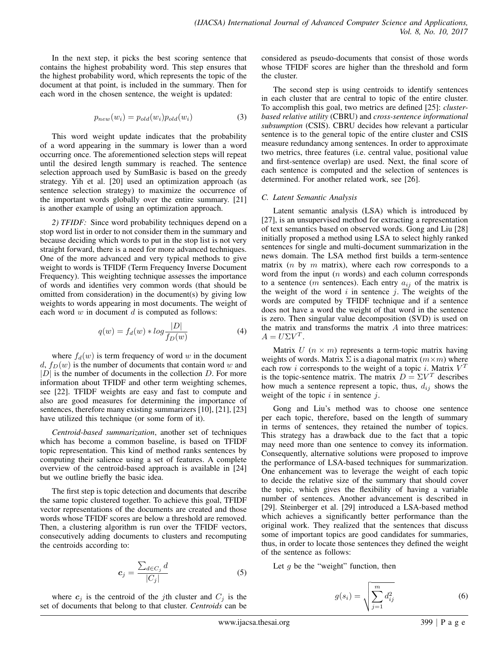In the next step, it picks the best scoring sentence that contains the highest probability word. This step ensures that the highest probability word, which represents the topic of the document at that point, is included in the summary. Then for each word in the chosen sentence, the weight is updated:

$$
p_{new}(w_i) = p_{old}(w_i)p_{old}(w_i)
$$
\n(3)

This word weight update indicates that the probability of a word appearing in the summary is lower than a word occurring once. The aforementioned selection steps will repeat until the desired length summary is reached. The sentence selection approach used by SumBasic is based on the greedy strategy. Yih et al. [20] used an optimization approach (as sentence selection strategy) to maximize the occurrence of the important words globally over the entire summary. [21] is another example of using an optimization approach.

*2) TFIDF:* Since word probability techniques depend on a stop word list in order to not consider them in the summary and because deciding which words to put in the stop list is not very straight forward, there is a need for more advanced techniques. One of the more advanced and very typical methods to give weight to words is TFIDF (Term Frequency Inverse Document Frequency). This weighting technique assesses the importance of words and identifies very common words (that should be omitted from consideration) in the document(s) by giving low weights to words appearing in most documents. The weight of each word  $w$  in document  $d$  is computed as follows:

$$
q(w) = f_d(w) * log \frac{|D|}{f_D(w)}
$$
\n(4)

where  $f_d(w)$  is term frequency of word w in the document  $d, f_D(w)$  is the number of documents that contain word w and  $|D|$  is the number of documents in the collection D. For more information about TFIDF and other term weighting schemes, see [22]. TFIDF weights are easy and fast to compute and also are good measures for determining the importance of sentences, therefore many existing summarizers [10], [21], [23] have utilized this technique (or some form of it).

*Centroid-based summarization*, another set of techniques which has become a common baseline, is based on TFIDF topic representation. This kind of method ranks sentences by computing their salience using a set of features. A complete overview of the centroid-based approach is available in [24] but we outline briefly the basic idea.

The first step is topic detection and documents that describe the same topic clustered together. To achieve this goal, TFIDF vector representations of the documents are created and those words whose TFIDF scores are below a threshold are removed. Then, a clustering algorithm is run over the TFIDF vectors, consecutively adding documents to clusters and recomputing the centroids according to:

$$
c_j = \frac{\sum_{d \in C_j} d}{|C_j|} \tag{5}
$$

where  $c_j$  is the centroid of the jth cluster and  $C_j$  is the set of documents that belong to that cluster. *Centroids* can be considered as pseudo-documents that consist of those words whose TFIDF scores are higher than the threshold and form the cluster.

The second step is using centroids to identify sentences in each cluster that are central to topic of the entire cluster. To accomplish this goal, two metrics are defined [25]: *clusterbased relative utility* (CBRU) and *cross-sentence informational subsumption* (CSIS). CBRU decides how relevant a particular sentence is to the general topic of the entire cluster and CSIS measure redundancy among sentences. In order to approximate two metrics, three features (i.e. central value, positional value and first-sentence overlap) are used. Next, the final score of each sentence is computed and the selection of sentences is determined. For another related work, see [26].

#### *C. Latent Semantic Analysis*

Latent semantic analysis (LSA) which is introduced by [27], is an unsupervised method for extracting a representation of text semantics based on observed words. Gong and Liu [28] initially proposed a method using LSA to select highly ranked sentences for single and multi-document summarization in the news domain. The LSA method first builds a term-sentence matrix  $(n \text{ by } m \text{ matrix})$ , where each row corresponds to a word from the input  $(n \text{ words})$  and each column corresponds to a sentence (*m* sentences). Each entry  $a_{ij}$  of the matrix is the weight of the word  $i$  in sentence  $j$ . The weights of the words are computed by TFIDF technique and if a sentence does not have a word the weight of that word in the sentence is zero. Then singular value decomposition (SVD) is used on the matrix and transforms the matrix  $A$  into three matrices:  $A = U\Sigma V^T.$ 

Matrix  $U$  ( $n \times m$ ) represents a term-topic matrix having weights of words. Matrix  $\Sigma$  is a diagonal matrix  $(m \times m)$  where each row *i* corresponds to the weight of a topic *i*. Matrix  $V<sup>T</sup>$ is the topic-sentence matrix. The matrix  $D = \Sigma V^T$  describes how much a sentence represent a topic, thus,  $d_{ij}$  shows the weight of the topic  $i$  in sentence  $j$ .

Gong and Liu's method was to choose one sentence per each topic, therefore, based on the length of summary in terms of sentences, they retained the number of topics. This strategy has a drawback due to the fact that a topic may need more than one sentence to convey its information. Consequently, alternative solutions were proposed to improve the performance of LSA-based techniques for summarization. One enhancement was to leverage the weight of each topic to decide the relative size of the summary that should cover the topic, which gives the flexibility of having a variable number of sentences. Another advancement is described in [29]. Steinberger et al. [29] introduced a LSA-based method which achieves a significantly better performance than the original work. They realized that the sentences that discuss some of important topics are good candidates for summaries, thus, in order to locate those sentences they defined the weight of the sentence as follows:

Let  $g$  be the "weight" function, then

$$
g(s_i) = \sqrt{\sum_{j=1}^{m} d_{ij}^2}
$$
 (6)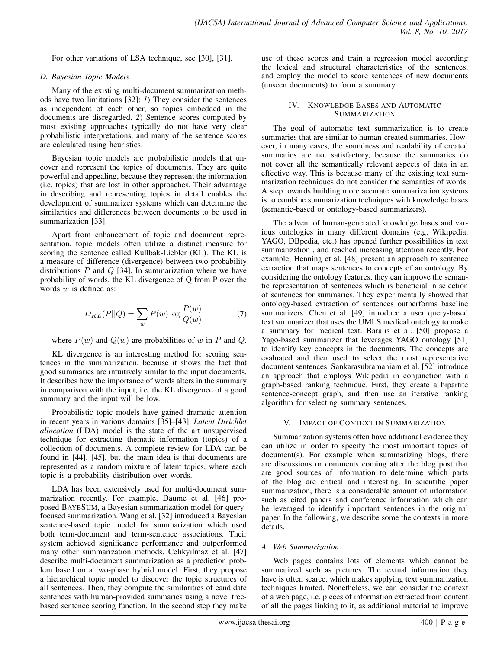For other variations of LSA technique, see [30], [31].

#### *D. Bayesian Topic Models*

Many of the existing multi-document summarization methods have two limitations [32]: *1*) They consider the sentences as independent of each other, so topics embedded in the documents are disregarded. *2*) Sentence scores computed by most existing approaches typically do not have very clear probabilistic interpretations, and many of the sentence scores are calculated using heuristics.

Bayesian topic models are probabilistic models that uncover and represent the topics of documents. They are quite powerful and appealing, because they represent the information (i.e. topics) that are lost in other approaches. Their advantage in describing and representing topics in detail enables the development of summarizer systems which can determine the similarities and differences between documents to be used in summarization [33].

Apart from enhancement of topic and document representation, topic models often utilize a distinct measure for scoring the sentence called Kullbak-Liebler (KL). The KL is a measure of difference (divergence) between two probability distributions  $P$  and  $Q$  [34]. In summarization where we have probability of words, the KL divergence of Q from P over the words  $w$  is defined as:

$$
D_{KL}(P||Q) = \sum_{w} P(w) \log \frac{P(w)}{Q(w)}\tag{7}
$$

where  $P(w)$  and  $Q(w)$  are probabilities of w in P and Q.

KL divergence is an interesting method for scoring sentences in the summarization, because it shows the fact that good summaries are intuitively similar to the input documents. It describes how the importance of words alters in the summary in comparison with the input, i.e. the KL divergence of a good summary and the input will be low.

Probabilistic topic models have gained dramatic attention in recent years in various domains [35]–[43]. *Latent Dirichlet allocation* (LDA) model is the state of the art unsupervised technique for extracting thematic information (topics) of a collection of documents. A complete review for LDA can be found in [44], [45], but the main idea is that documents are represented as a random mixture of latent topics, where each topic is a probability distribution over words.

LDA has been extensively used for multi-document summarization recently. For example, Daume et al. [46] proposed BAYESUM, a Bayesian summarization model for queryfocused summarization. Wang et al. [32] introduced a Bayesian sentence-based topic model for summarization which used both term-document and term-sentence associations. Their system achieved significance performance and outperformed many other summarization methods. Celikyilmaz et al. [47] describe multi-document summarization as a prediction problem based on a two-phase hybrid model. First, they propose a hierarchical topic model to discover the topic structures of all sentences. Then, they compute the similarities of candidate sentences with human-provided summaries using a novel treebased sentence scoring function. In the second step they make use of these scores and train a regression model according the lexical and structural characteristics of the sentences, and employ the model to score sentences of new documents (unseen documents) to form a summary.

#### IV. KNOWLEDGE BASES AND AUTOMATIC **SUMMARIZATION**

The goal of automatic text summarization is to create summaries that are similar to human-created summaries. However, in many cases, the soundness and readability of created summaries are not satisfactory, because the summaries do not cover all the semantically relevant aspects of data in an effective way. This is because many of the existing text summarization techniques do not consider the semantics of words. A step towards building more accurate summarization systems is to combine summarization techniques with knowledge bases (semantic-based or ontology-based summarizers).

The advent of human-generated knowledge bases and various ontologies in many different domains (e.g. Wikipedia, YAGO, DBpedia, etc.) has opened further possibilities in text summarization , and reached increasing attention recently. For example, Henning et al. [48] present an approach to sentence extraction that maps sentences to concepts of an ontology. By considering the ontology features, they can improve the semantic representation of sentences which is beneficial in selection of sentences for summaries. They experimentally showed that ontology-based extraction of sentences outperforms baseline summarizers. Chen et al. [49] introduce a user query-based text summarizer that uses the UMLS medical ontology to make a summary for medical text. Baralis et al. [50] propose a Yago-based summarizer that leverages YAGO ontology [51] to identify key concepts in the documents. The concepts are evaluated and then used to select the most representative document sentences. Sankarasubramaniam et al. [52] introduce an approach that employs Wikipedia in conjunction with a graph-based ranking technique. First, they create a bipartite sentence-concept graph, and then use an iterative ranking algorithm for selecting summary sentences.

#### V. IMPACT OF CONTEXT IN SUMMARIZATION

Summarization systems often have additional evidence they can utilize in order to specify the most important topics of document(s). For example when summarizing blogs, there are discussions or comments coming after the blog post that are good sources of information to determine which parts of the blog are critical and interesting. In scientific paper summarization, there is a considerable amount of information such as cited papers and conference information which can be leveraged to identify important sentences in the original paper. In the following, we describe some the contexts in more details.

#### *A. Web Summarization*

Web pages contains lots of elements which cannot be summarized such as pictures. The textual information they have is often scarce, which makes applying text summarization techniques limited. Nonetheless, we can consider the context of a web page, i.e. pieces of information extracted from content of all the pages linking to it, as additional material to improve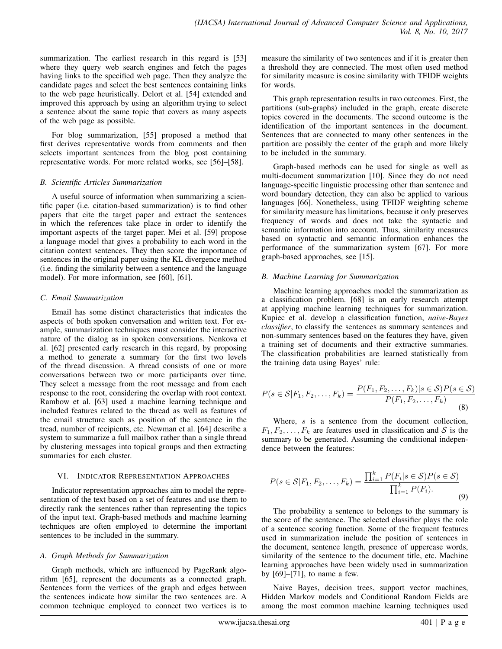summarization. The earliest research in this regard is [53] where they query web search engines and fetch the pages having links to the specified web page. Then they analyze the candidate pages and select the best sentences containing links to the web page heuristically. Delort et al. [54] extended and improved this approach by using an algorithm trying to select a sentence about the same topic that covers as many aspects of the web page as possible.

For blog summarization, [55] proposed a method that first derives representative words from comments and then selects important sentences from the blog post containing representative words. For more related works, see [56]–[58].

#### *B. Scientific Articles Summarization*

A useful source of information when summarizing a scientific paper (i.e. citation-based summarization) is to find other papers that cite the target paper and extract the sentences in which the references take place in order to identify the important aspects of the target paper. Mei et al. [59] propose a language model that gives a probability to each word in the citation context sentences. They then score the importance of sentences in the original paper using the KL divergence method (i.e. finding the similarity between a sentence and the language model). For more information, see [60], [61].

#### *C. Email Summarization*

Email has some distinct characteristics that indicates the aspects of both spoken conversation and written text. For example, summarization techniques must consider the interactive nature of the dialog as in spoken conversations. Nenkova et al. [62] presented early research in this regard, by proposing a method to generate a summary for the first two levels of the thread discussion. A thread consists of one or more conversations between two or more participants over time. They select a message from the root message and from each response to the root, considering the overlap with root context. Rambow et al. [63] used a machine learning technique and included features related to the thread as well as features of the email structure such as position of the sentence in the tread, number of recipients, etc. Newman et al. [64] describe a system to summarize a full mailbox rather than a single thread by clustering messages into topical groups and then extracting summaries for each cluster.

#### VI. INDICATOR REPRESENTATION APPROACHES

Indicator representation approaches aim to model the representation of the text based on a set of features and use them to directly rank the sentences rather than representing the topics of the input text. Graph-based methods and machine learning techniques are often employed to determine the important sentences to be included in the summary.

#### *A. Graph Methods for Summarization*

Graph methods, which are influenced by PageRank algorithm [65], represent the documents as a connected graph. Sentences form the vertices of the graph and edges between the sentences indicate how similar the two sentences are. A common technique employed to connect two vertices is to measure the similarity of two sentences and if it is greater then a threshold they are connected. The most often used method for similarity measure is cosine similarity with TFIDF weights for words.

This graph representation results in two outcomes. First, the partitions (sub-graphs) included in the graph, create discrete topics covered in the documents. The second outcome is the identification of the important sentences in the document. Sentences that are connected to many other sentences in the partition are possibly the center of the graph and more likely to be included in the summary.

Graph-based methods can be used for single as well as multi-document summarization [10]. Since they do not need language-specific linguistic processing other than sentence and word boundary detection, they can also be applied to various languages [66]. Nonetheless, using TFIDF weighting scheme for similarity measure has limitations, because it only preserves frequency of words and does not take the syntactic and semantic information into account. Thus, similarity measures based on syntactic and semantic information enhances the performance of the summarization system [67]. For more graph-based approaches, see [15].

#### *B. Machine Learning for Summarization*

Machine learning approaches model the summarization as a classification problem. [68] is an early research attempt at applying machine learning techniques for summarization. Kupiec et al. develop a classification function, *naive-Bayes classifier*, to classify the sentences as summary sentences and non-summary sentences based on the features they have, given a training set of documents and their extractive summaries. The classification probabilities are learned statistically from the training data using Bayes' rule:

$$
P(s \in \mathcal{S}|F_1, F_2, \dots, F_k) = \frac{P(F_1, F_2, \dots, F_k)|s \in \mathcal{S} \cap P(s \in \mathcal{S})}{P(F_1, F_2, \dots, F_k)}
$$
(8)

Where, s is a sentence from the document collection,  $F_1, F_2, \ldots, F_k$  are features used in classification and S is the summary to be generated. Assuming the conditional independence between the features:

$$
P(s \in \mathcal{S}|F_1, F_2, \dots, F_k) = \frac{\prod_{i=1}^k P(F_i|s \in \mathcal{S})P(s \in \mathcal{S})}{\prod_{i=1}^k P(F_i).}
$$
\n(9)

The probability a sentence to belongs to the summary is the score of the sentence. The selected classifier plays the role of a sentence scoring function. Some of the frequent features used in summarization include the position of sentences in the document, sentence length, presence of uppercase words, similarity of the sentence to the document title, etc. Machine learning approaches have been widely used in summarization by [69]–[71], to name a few.

Naive Bayes, decision trees, support vector machines, Hidden Markov models and Conditional Random Fields are among the most common machine learning techniques used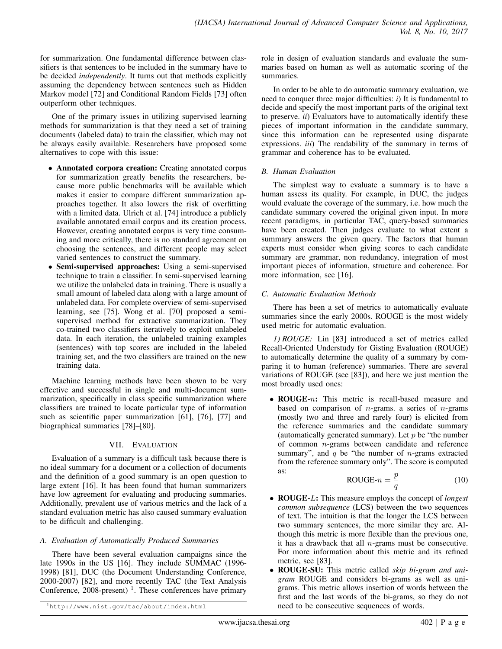for summarization. One fundamental difference between classifiers is that sentences to be included in the summary have to be decided *independently*. It turns out that methods explicitly assuming the dependency between sentences such as Hidden Markov model [72] and Conditional Random Fields [73] often outperform other techniques.

One of the primary issues in utilizing supervised learning methods for summarization is that they need a set of training documents (labeled data) to train the classifier, which may not be always easily available. Researchers have proposed some alternatives to cope with this issue:

- Annotated corpora creation: Creating annotated corpus for summarization greatly benefits the researchers, because more public benchmarks will be available which makes it easier to compare different summarization approaches together. It also lowers the risk of overfitting with a limited data. Ulrich et al. [74] introduce a publicly available annotated email corpus and its creation process. However, creating annotated corpus is very time consuming and more critically, there is no standard agreement on choosing the sentences, and different people may select varied sentences to construct the summary.
- Semi-supervised approaches: Using a semi-supervised technique to train a classifier. In semi-supervised learning we utilize the unlabeled data in training. There is usually a small amount of labeled data along with a large amount of unlabeled data. For complete overview of semi-supervised learning, see [75]. Wong et al. [70] proposed a semisupervised method for extractive summarization. They co-trained two classifiers iteratively to exploit unlabeled data. In each iteration, the unlabeled training examples (sentences) with top scores are included in the labeled training set, and the two classifiers are trained on the new training data.

Machine learning methods have been shown to be very effective and successful in single and multi-document summarization, specifically in class specific summarization where classifiers are trained to locate particular type of information such as scientific paper summarization [61], [76], [77] and biographical summaries [78]–[80].

#### VII. EVALUATION

Evaluation of a summary is a difficult task because there is no ideal summary for a document or a collection of documents and the definition of a good summary is an open question to large extent [16]. It has been found that human summarizers have low agreement for evaluating and producing summaries. Additionally, prevalent use of various metrics and the lack of a standard evaluation metric has also caused summary evaluation to be difficult and challenging.

#### *A. Evaluation of Automatically Produced Summaries*

There have been several evaluation campaigns since the late 1990s in the US [16]. They include SUMMAC (1996- 1998) [81], DUC (the Document Understanding Conference, 2000-2007) [82], and more recently TAC (the Text Analysis Conference,  $2008$ -present)<sup>1</sup>. These conferences have primary

role in design of evaluation standards and evaluate the summaries based on human as well as automatic scoring of the summaries.

In order to be able to do automatic summary evaluation, we need to conquer three major difficulties: *i*) It is fundamental to decide and specify the most important parts of the original text to preserve. *ii*) Evaluators have to automatically identify these pieces of important information in the candidate summary, since this information can be represented using disparate expressions. *iii*) The readability of the summary in terms of grammar and coherence has to be evaluated.

#### *B. Human Evaluation*

The simplest way to evaluate a summary is to have a human assess its quality. For example, in DUC, the judges would evaluate the coverage of the summary, i.e. how much the candidate summary covered the original given input. In more recent paradigms, in particular TAC, query-based summaries have been created. Then judges evaluate to what extent a summary answers the given query. The factors that human experts must consider when giving scores to each candidate summary are grammar, non redundancy, integration of most important pieces of information, structure and coherence. For more information, see [16].

#### *C. Automatic Evaluation Methods*

There has been a set of metrics to automatically evaluate summaries since the early 2000s. ROUGE is the most widely used metric for automatic evaluation.

*1) ROUGE:* Lin [83] introduced a set of metrics called Recall-Oriented Understudy for Gisting Evaluation (ROUGE) to automatically determine the quality of a summary by comparing it to human (reference) summaries. There are several variations of ROUGE (see [83]), and here we just mention the most broadly used ones:

• **ROUGE-***n*: This metric is recall-based measure and based on comparison of  $n$ -grams. a series of  $n$ -grams (mostly two and three and rarely four) is elicited from the reference summaries and the candidate summary (automatically generated summary). Let  $p$  be "the number of common  $n$ -grams between candidate and reference summary", and  $q$  be "the number of *n*-grams extracted from the reference summary only". The score is computed as:

$$
ROUGE-n = \frac{p}{q}
$$
 (10)

- ROUGE-L: This measure employs the concept of *longest common subsequence* (LCS) between the two sequences of text. The intuition is that the longer the LCS between two summary sentences, the more similar they are. Although this metric is more flexible than the previous one, it has a drawback that all  $n$ -grams must be consecutive. For more information about this metric and its refined metric, see [83].
- ROUGE-SU: This metric called *skip bi-gram and unigram* ROUGE and considers bi-grams as well as unigrams. This metric allows insertion of words between the first and the last words of the bi-grams, so they do not need to be consecutive sequences of words.

<sup>1</sup>http://www.nist.gov/tac/about/index.html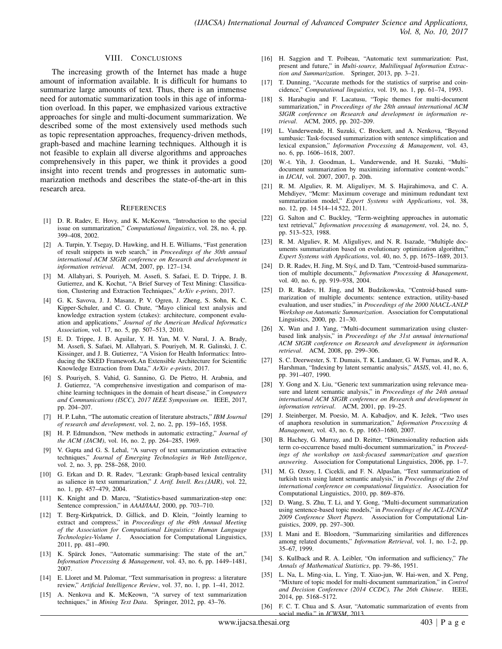#### VIII. CONCLUSIONS

The increasing growth of the Internet has made a huge amount of information available. It is difficult for humans to summarize large amounts of text. Thus, there is an immense need for automatic summarization tools in this age of information overload. In this paper, we emphasized various extractive approaches for single and multi-document summarization. We described some of the most extensively used methods such as topic representation approaches, frequency-driven methods, graph-based and machine learning techniques. Although it is not feasible to explain all diverse algorithms and approaches comprehensively in this paper, we think it provides a good insight into recent trends and progresses in automatic summarization methods and describes the state-of-the-art in this research area.

#### **REFERENCES**

- [1] D. R. Radev, E. Hovy, and K. McKeown, "Introduction to the special issue on summarization," *Computational linguistics*, vol. 28, no. 4, pp. 399–408, 2002.
- [2] A. Turpin, Y. Tsegay, D. Hawking, and H. E. Williams, "Fast generation of result snippets in web search," in *Proceedings of the 30th annual international ACM SIGIR conference on Research and development in information retrieval*. ACM, 2007, pp. 127–134.
- [3] M. Allahyari, S. Pouriyeh, M. Assefi, S. Safaei, E. D. Trippe, J. B. Gutierrez, and K. Kochut, "A Brief Survey of Text Mining: Classification, Clustering and Extraction Techniques," *ArXiv e-prints*, 2017.
- [4] G. K. Savova, J. J. Masanz, P. V. Ogren, J. Zheng, S. Sohn, K. C. Kipper-Schuler, and C. G. Chute, "Mayo clinical text analysis and knowledge extraction system (ctakes): architecture, component evaluation and applications," *Journal of the American Medical Informatics Association*, vol. 17, no. 5, pp. 507–513, 2010.
- [5] E. D. Trippe, J. B. Aguilar, Y. H. Yan, M. V. Nural, J. A. Brady, M. Assefi, S. Safaei, M. Allahyari, S. Pouriyeh, M. R. Galinski, J. C. Kissinger, and J. B. Gutierrez, "A Vision for Health Informatics: Introducing the SKED Framework.An Extensible Architecture for Scientific Knowledge Extraction from Data," *ArXiv e-prints*, 2017.
- [6] S. Pouriyeh, S. Vahid, G. Sannino, G. De Pietro, H. Arabnia, and J. Gutierrez, "A comprehensive investigation and comparison of machine learning techniques in the domain of heart disease," in *Computers and Communications (ISCC), 2017 IEEE Symposium on*. IEEE, 2017, pp. 204–207.
- [7] H. P. Luhn, "The automatic creation of literature abstracts," *IBM Journal of research and development*, vol. 2, no. 2, pp. 159–165, 1958.
- [8] H. P. Edmundson, "New methods in automatic extracting," *Journal of the ACM (JACM)*, vol. 16, no. 2, pp. 264–285, 1969.
- [9] V. Gupta and G. S. Lehal, "A survey of text summarization extractive techniques," *Journal of Emerging Technologies in Web Intelligence*, vol. 2, no. 3, pp. 258–268, 2010.
- [10] G. Erkan and D. R. Radev, "Lexrank: Graph-based lexical centrality as salience in text summarization," *J. Artif. Intell. Res.(JAIR)*, vol. 22, no. 1, pp. 457–479, 2004.
- [11] K. Knight and D. Marcu, "Statistics-based summarization-step one: Sentence compression," in *AAAI/IAAI*, 2000, pp. 703–710.
- [12] T. Berg-Kirkpatrick, D. Gillick, and D. Klein, "Jointly learning to extract and compress," in *Proceedings of the 49th Annual Meeting of the Association for Computational Linguistics: Human Language Technologies-Volume 1*. Association for Computational Linguistics, 2011, pp. 481–490.
- [13] K. Spärck Jones, "Automatic summarising: The state of the art," *Information Processing & Management*, vol. 43, no. 6, pp. 1449–1481, 2007.
- [14] E. Lloret and M. Palomar, "Text summarisation in progress: a literature review," *Artificial Intelligence Review*, vol. 37, no. 1, pp. 1–41, 2012.
- [15] A. Nenkova and K. McKeown, "A survey of text summarization techniques," in *Mining Text Data*. Springer, 2012, pp. 43–76.
- [16] H. Saggion and T. Poibeau, "Automatic text summarization: Past, present and future," in *Multi-source, Multilingual Information Extraction and Summarization*. Springer, 2013, pp. 3–21.
- [17] T. Dunning, "Accurate methods for the statistics of surprise and coincidence," *Computational linguistics*, vol. 19, no. 1, pp. 61–74, 1993.
- [18] S. Harabagiu and F. Lacatusu, "Topic themes for multi-document summarization," in *Proceedings of the 28th annual international ACM SIGIR conference on Research and development in information retrieval*. ACM, 2005, pp. 202–209.
- [19] L. Vanderwende, H. Suzuki, C. Brockett, and A. Nenkova, "Beyond sumbasic: Task-focused summarization with sentence simplification and lexical expansion," *Information Processing & Management*, vol. 43, no. 6, pp. 1606–1618, 2007.
- W.-t. Yih, J. Goodman, L. Vanderwende, and H. Suzuki, "Multidocument summarization by maximizing informative content-words." in *IJCAI*, vol. 2007, 2007, p. 20th.
- [21] R. M. Alguliev, R. M. Aliguliyev, M. S. Hajirahimova, and C. A. Mehdiyev, "Mcmr: Maximum coverage and minimum redundant text summarization model," *Expert Systems with Applications*, vol. 38, no. 12, pp. 14 514–14 522, 2011.
- [22] G. Salton and C. Buckley, "Term-weighting approaches in automatic text retrieval," *Information processing & management*, vol. 24, no. 5, pp. 513–523, 1988.
- [23] R. M. Alguliev, R. M. Aliguliyev, and N. R. Isazade, "Multiple documents summarization based on evolutionary optimization algorithm," *Expert Systems with Applications*, vol. 40, no. 5, pp. 1675–1689, 2013.
- [24] D. R. Radev, H. Jing, M. Styś, and D. Tam, "Centroid-based summarization of multiple documents," *Information Processing & Management*, vol. 40, no. 6, pp. 919–938, 2004.
- [25] D. R. Radev, H. Jing, and M. Budzikowska, "Centroid-based summarization of multiple documents: sentence extraction, utility-based evaluation, and user studies," in *Proceedings of the 2000 NAACL-ANLP Workshop on Automatic Summarization*. Association for Computational Linguistics, 2000, pp. 21–30.
- [26] X. Wan and J. Yang, "Multi-document summarization using clusterbased link analysis," in *Proceedings of the 31st annual international ACM SIGIR conference on Research and development in information retrieval*. ACM, 2008, pp. 299–306.
- [27] S. C. Deerwester, S. T. Dumais, T. K. Landauer, G. W. Furnas, and R. A. Harshman, "Indexing by latent semantic analysis," *JASIS*, vol. 41, no. 6, pp. 391–407, 1990.
- [28] Y. Gong and X. Liu, "Generic text summarization using relevance measure and latent semantic analysis," in *Proceedings of the 24th annual international ACM SIGIR conference on Research and development in information retrieval*. ACM, 2001, pp. 19–25.
- [29] J. Steinberger, M. Poesio, M. A. Kabadjov, and K. Ježek, "Two uses of anaphora resolution in summarization," *Information Processing & Management*, vol. 43, no. 6, pp. 1663–1680, 2007.
- [30] B. Hachey, G. Murray, and D. Reitter, "Dimensionality reduction aids term co-occurrence based multi-document summarization," in *Proceedings of the workshop on task-focused summarization and question answering*. Association for Computational Linguistics, 2006, pp. 1–7.
- [31] M. G. Ozsoy, I. Cicekli, and F. N. Alpaslan, "Text summarization of turkish texts using latent semantic analysis," in *Proceedings of the 23rd international conference on computational linguistics*. Association for Computational Linguistics, 2010, pp. 869–876.
- [32] D. Wang, S. Zhu, T. Li, and Y. Gong, "Multi-document summarization using sentence-based topic models," in *Proceedings of the ACL-IJCNLP 2009 Conference Short Papers*. Association for Computational Linguistics, 2009, pp. 297–300.
- [33] I. Mani and E. Bloedorn, "Summarizing similarities and differences among related documents," *Information Retrieval*, vol. 1, no. 1-2, pp. 35–67, 1999.
- [34] S. Kullback and R. A. Leibler, "On information and sufficiency," *The Annals of Mathematical Statistics*, pp. 79–86, 1951.
- [35] L. Na, L. Ming-xia, L. Ying, T. Xiao-jun, W. Hai-wen, and X. Peng, "Mixture of topic model for multi-document summarization," in *Control and Decision Conference (2014 CCDC), The 26th Chinese*. IEEE, 2014, pp. 5168–5172.
- [36] F. C. T. Chua and S. Asur, "Automatic summarization of events from social media." in *ICWSM*, 2013.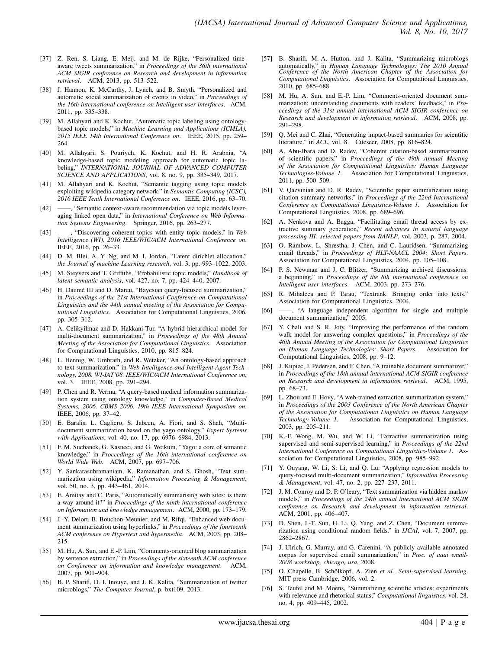- [37] Z. Ren, S. Liang, E. Meij, and M. de Rijke, "Personalized timeaware tweets summarization," in *Proceedings of the 36th international ACM SIGIR conference on Research and development in information retrieval*. ACM, 2013, pp. 513–522.
- [38] J. Hannon, K. McCarthy, J. Lynch, and B. Smyth, "Personalized and automatic social summarization of events in video," in *Proceedings of the 16th international conference on Intelligent user interfaces*. ACM, 2011, pp. 335–338.
- [39] M. Allahyari and K. Kochut, "Automatic topic labeling using ontologybased topic models," in *Machine Learning and Applications (ICMLA), 2015 IEEE 14th International Conference on*. IEEE, 2015, pp. 259– 264.
- [40] M. Allahyari, S. Pouriyeh, K. Kochut, and H. R. Arabnia, "A knowledge-based topic modeling approach for automatic topic labeling," *INTERNATIONAL JOURNAL OF ADVANCED COMPUTER SCIENCE AND APPLICATIONS*, vol. 8, no. 9, pp. 335–349, 2017.
- [41] M. Allahyari and K. Kochut, "Semantic tagging using topic models exploiting wikipedia category network," in *Semantic Computing (ICSC), 2016 IEEE Tenth International Conference on*. IEEE, 2016, pp. 63–70.
- [42] ——, "Semantic context-aware recommendation via topic models leveraging linked open data," in *International Conference on Web Information Systems Engineering*. Springer, 2016, pp. 263–277.
- [43] ——, "Discovering coherent topics with entity topic models," in *Web Intelligence (WI), 2016 IEEE/WIC/ACM International Conference on*. IEEE, 2016, pp. 26–33.
- [44] D. M. Blei, A. Y. Ng, and M. I. Jordan, "Latent dirichlet allocation," *the Journal of machine Learning research*, vol. 3, pp. 993–1022, 2003.
- [45] M. Steyvers and T. Griffiths, "Probabilistic topic models," *Handbook of latent semantic analysis*, vol. 427, no. 7, pp. 424–440, 2007.
- [46] H. Daumé III and D. Marcu, "Bayesian query-focused summarization," in *Proceedings of the 21st International Conference on Computational Linguistics and the 44th annual meeting of the Association for Computational Linguistics*. Association for Computational Linguistics, 2006, pp. 305–312.
- [47] A. Celikyilmaz and D. Hakkani-Tur, "A hybrid hierarchical model for multi-document summarization," in *Proceedings of the 48th Annual Meeting of the Association for Computational Linguistics*. Association for Computational Linguistics, 2010, pp. 815–824.
- [48] L. Hennig, W. Umbrath, and R. Wetzker, "An ontology-based approach to text summarization," in *Web Intelligence and Intelligent Agent Technology, 2008. WI-IAT'08. IEEE/WIC/ACM International Conference on*, vol. 3. IEEE, 2008, pp. 291–294.
- [49] P. Chen and R. Verma, "A query-based medical information summarization system using ontology knowledge," in *Computer-Based Medical Systems, 2006. CBMS 2006. 19th IEEE International Symposium on*. IEEE, 2006, pp. 37–42.
- [50] E. Baralis, L. Cagliero, S. Jabeen, A. Fiori, and S. Shah, "Multidocument summarization based on the yago ontology," *Expert Systems with Applications*, vol. 40, no. 17, pp. 6976–6984, 2013.
- [51] F. M. Suchanek, G. Kasneci, and G. Weikum, "Yago: a core of semantic knowledge," in *Proceedings of the 16th international conference on World Wide Web*. ACM, 2007, pp. 697–706.
- [52] Y. Sankarasubramaniam, K. Ramanathan, and S. Ghosh, "Text summarization using wikipedia," *Information Processing & Management*, vol. 50, no. 3, pp. 443–461, 2014.
- [53] E. Amitay and C. Paris, "Automatically summarising web sites: is there a way around it?" in *Proceedings of the ninth international conference on Information and knowledge management*. ACM, 2000, pp. 173–179.
- [54] J.-Y. Delort, B. Bouchon-Meunier, and M. Rifqi, "Enhanced web document summarization using hyperlinks," in *Proceedings of the fourteenth ACM conference on Hypertext and hypermedia*. ACM, 2003, pp. 208– 215.
- [55] M. Hu, A. Sun, and E.-P. Lim, "Comments-oriented blog summarization by sentence extraction," in *Proceedings of the sixteenth ACM conference on Conference on information and knowledge management*. ACM, 2007, pp. 901–904.
- [56] B. P. Sharifi, D. I. Inouye, and J. K. Kalita, "Summarization of twitter microblogs," *The Computer Journal*, p. bxt109, 2013.
- [57] B. Sharifi, M.-A. Hutton, and J. Kalita, "Summarizing microblogs automatically," in *Human Language Technologies: The 2010 Annual Conference of the North American Chapter of the Association for Computational Linguistics*. Association for Computational Linguistics, 2010, pp. 685–688.
- [58] M. Hu, A. Sun, and E.-P. Lim, "Comments-oriented document summarization: understanding documents with readers' feedback," in *Proceedings of the 31st annual international ACM SIGIR conference on Research and development in information retrieval*. ACM, 2008, pp. 291–298.
- [59] Q. Mei and C. Zhai, "Generating impact-based summaries for scientific literature." in *ACL*, vol. 8. Citeseer, 2008, pp. 816–824.
- [60] A. Abu-Jbara and D. Radev, "Coherent citation-based summarization of scientific papers," in *Proceedings of the 49th Annual Meeting of the Association for Computational Linguistics: Human Language Technologies-Volume 1*. Association for Computational Linguistics, 2011, pp. 500–509.
- [61] V. Qazvinian and D. R. Radev, "Scientific paper summarization using citation summary networks," in *Proceedings of the 22nd International Conference on Computational Linguistics-Volume 1*. Association for Computational Linguistics, 2008, pp. 689–696.
- [62] A. Nenkova and A. Bagga, "Facilitating email thread access by extractive summary generation," *Recent advances in natural language processing III: selected papers from RANLP*, vol. 2003, p. 287, 2004.
- [63] O. Rambow, L. Shrestha, J. Chen, and C. Lauridsen, "Summarizing email threads," in *Proceedings of HLT-NAACL 2004: Short Papers*. Association for Computational Linguistics, 2004, pp. 105–108.
- [64] P. S. Newman and J. C. Blitzer, "Summarizing archived discussions: a beginning," in *Proceedings of the 8th international conference on Intelligent user interfaces*. ACM, 2003, pp. 273–276.
- [65] R. Mihalcea and P. Tarau, "Textrank: Bringing order into texts." Association for Computational Linguistics, 2004.
- [66] ——, "A language independent algorithm for single and multiple document summarization," 2005.
- [67] Y. Chali and S. R. Joty, "Improving the performance of the random walk model for answering complex questions," in *Proceedings of the 46th Annual Meeting of the Association for Computational Linguistics on Human Language Technologies: Short Papers*. Association for Computational Linguistics, 2008, pp. 9–12.
- [68] J. Kupiec, J. Pedersen, and F. Chen, "A trainable document summarizer," in *Proceedings of the 18th annual international ACM SIGIR conference on Research and development in information retrieval*. ACM, 1995, pp. 68–73.
- [69] L. Zhou and E. Hovy, "A web-trained extraction summarization system," in *Proceedings of the 2003 Conference of the North American Chapter of the Association for Computational Linguistics on Human Language Technology-Volume 1*. Association for Computational Linguistics, 2003, pp. 205–211.
- [70] K.-F. Wong, M. Wu, and W. Li, "Extractive summarization using supervised and semi-supervised learning," in *Proceedings of the 22nd International Conference on Computational Linguistics-Volume 1*. Association for Computational Linguistics, 2008, pp. 985–992.
- [71] Y. Ouyang, W. Li, S. Li, and Q. Lu, "Applying regression models to query-focused multi-document summarization," *Information Processing & Management*, vol. 47, no. 2, pp. 227–237, 2011.
- [72] J. M. Conroy and D. P. O'leary, "Text summarization via hidden markov models," in *Proceedings of the 24th annual international ACM SIGIR conference on Research and development in information retrieval*. ACM, 2001, pp. 406–407.
- [73] D. Shen, J.-T. Sun, H. Li, Q. Yang, and Z. Chen, "Document summarization using conditional random fields." in *IJCAI*, vol. 7, 2007, pp. 2862–2867.
- [74] J. Ulrich, G. Murray, and G. Carenini, "A publicly available annotated corpus for supervised email summarization," in *Proc. of aaai email-2008 workshop, chicago, usa*, 2008.
- [75] O. Chapelle, B. Schölkopf, A. Zien et al., *Semi-supervised learning*. MIT press Cambridge, 2006, vol. 2.
- [76] S. Teufel and M. Moens, "Summarizing scientific articles: experiments with relevance and rhetorical status," *Computational linguistics*, vol. 28, no. 4, pp. 409–445, 2002.